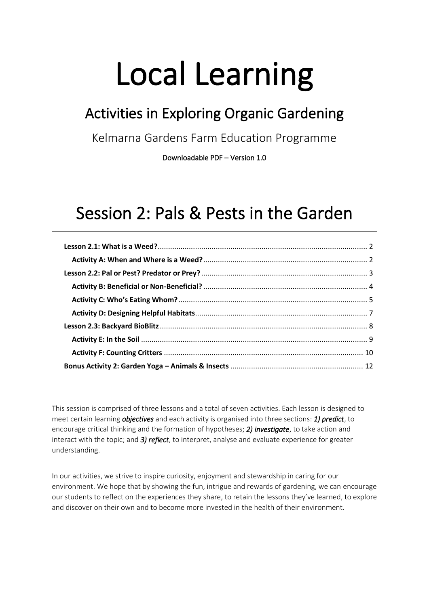# Local Learning

# Activities in Exploring Organic Gardening

Kelmarna Gardens Farm Education Programme

Downloadable PDF – Version 1.0

# Session 2: Pals & Pests in the Garden

This session is comprised of three lessons and a total of seven activities. Each lesson is designed to meet certain learning *objectives* and each activity is organised into three sections: *1) predict*, to encourage critical thinking and the formation of hypotheses; *2) investigate*, to take action and interact with the topic; and *3) reflect*, to interpret, analyse and evaluate experience for greater understanding.

In our activities, we strive to inspire curiosity, enjoyment and stewardship in caring for our environment. We hope that by showing the fun, intrigue and rewards of gardening, we can encourage our students to reflect on the experiences they share, to retain the lessons they've learned, to explore and discover on their own and to become more invested in the health of their environment.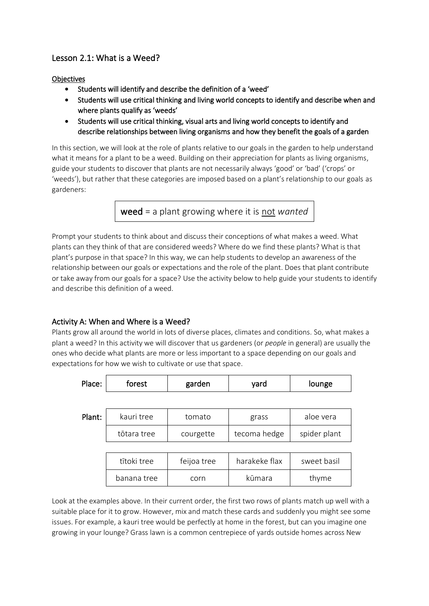# <span id="page-1-0"></span>Lesson 2.1: What is a Weed?

#### **Objectives**

- Students will identify and describe the definition of a 'weed'
- Students will use critical thinking and living world concepts to identify and describe when and where plants qualify as 'weeds'
- Students will use critical thinking, visual arts and living world concepts to identify and describe relationships between living organisms and how they benefit the goals of a garden

In this section, we will look at the role of plants relative to our goals in the garden to help understand what it means for a plant to be a weed. Building on their appreciation for plants as living organisms, guide your students to discover that plants are not necessarily always 'good' or 'bad' ('crops' or 'weeds'), but rather that these categories are imposed based on a plant's relationship to our goals as gardeners:

weed = a plant growing where it is not *wanted*

Prompt your students to think about and discuss their conceptions of what makes a weed. What plants can they think of that are considered weeds? Where do we find these plants? What is that plant's purpose in that space? In this way, we can help students to develop an awareness of the relationship between our goals or expectations and the role of the plant. Does that plant contribute or take away from our goals for a space? Use the activity below to help guide your students to identify and describe this definition of a weed.

# <span id="page-1-1"></span>Activity A: When and Where is a Weed?

Plants grow all around the world in lots of diverse places, climates and conditions. So, what makes a plant a weed? In this activity we will discover that us gardeners (or *people* in general) are usually the ones who decide what plants are more or less important to a space depending on our goals and expectations for how we wish to cultivate or use that space.

| Place: | forest      | garden      | yard          | lounge       |
|--------|-------------|-------------|---------------|--------------|
|        |             |             |               |              |
| Plant: | kauri tree  | tomato      | grass         | aloe vera    |
|        | tōtara tree | courgette   | tecoma hedge  | spider plant |
|        |             |             |               |              |
|        | tītoki tree | feijoa tree | harakeke flax | sweet basil  |
|        | banana tree | corn        | kūmara        | thyme        |

Look at the examples above. In their current order, the first two rows of plants match up well with a suitable place for it to grow. However, mix and match these cards and suddenly you might see some issues. For example, a kauri tree would be perfectly at home in the forest, but can you imagine one growing in your lounge? Grass lawn is a common centrepiece of yards outside homes across New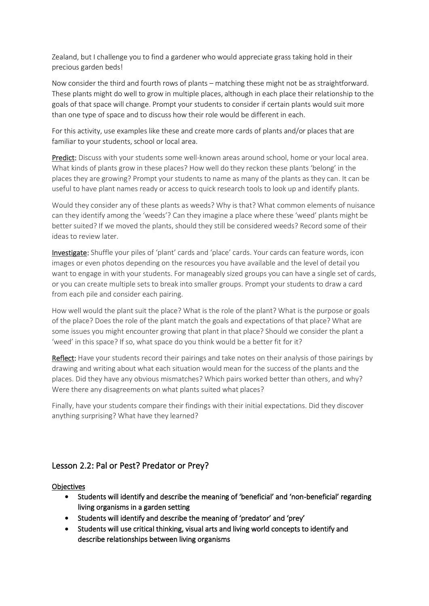Zealand, but I challenge you to find a gardener who would appreciate grass taking hold in their precious garden beds!

Now consider the third and fourth rows of plants – matching these might not be as straightforward. These plants might do well to grow in multiple places, although in each place their relationship to the goals of that space will change. Prompt your students to consider if certain plants would suit more than one type of space and to discuss how their role would be different in each.

For this activity, use examples like these and create more cards of plants and/or places that are familiar to your students, school or local area.

Predict: Discuss with your students some well-known areas around school, home or your local area. What kinds of plants grow in these places? How well do they reckon these plants 'belong' in the places they are growing? Prompt your students to name as many of the plants as they can. It can be useful to have plant names ready or access to quick research tools to look up and identify plants.

Would they consider any of these plants as weeds? Why is that? What common elements of nuisance can they identify among the 'weeds'? Can they imagine a place where these 'weed' plants might be better suited? If we moved the plants, should they still be considered weeds? Record some of their ideas to review later.

Investigate: Shuffle your piles of 'plant' cards and 'place' cards. Your cards can feature words, icon images or even photos depending on the resources you have available and the level of detail you want to engage in with your students. For manageably sized groups you can have a single set of cards, or you can create multiple sets to break into smaller groups. Prompt your students to draw a card from each pile and consider each pairing.

How well would the plant suit the place? What is the role of the plant? What is the purpose or goals of the place? Does the role of the plant match the goals and expectations of that place? What are some issues you might encounter growing that plant in that place? Should we consider the plant a 'weed' in this space? If so, what space do you think would be a better fit for it?

Reflect: Have your students record their pairings and take notes on their analysis of those pairings by drawing and writing about what each situation would mean for the success of the plants and the places. Did they have any obvious mismatches? Which pairs worked better than others, and why? Were there any disagreements on what plants suited what places?

Finally, have your students compare their findings with their initial expectations. Did they discover anything surprising? What have they learned?

# <span id="page-2-0"></span>Lesson 2.2: Pal or Pest? Predator or Prey?

#### **Objectives**

- Students will identify and describe the meaning of 'beneficial' and 'non-beneficial' regarding living organisms in a garden setting
- Students will identify and describe the meaning of 'predator' and 'prey'
- Students will use critical thinking, visual arts and living world concepts to identify and describe relationships between living organisms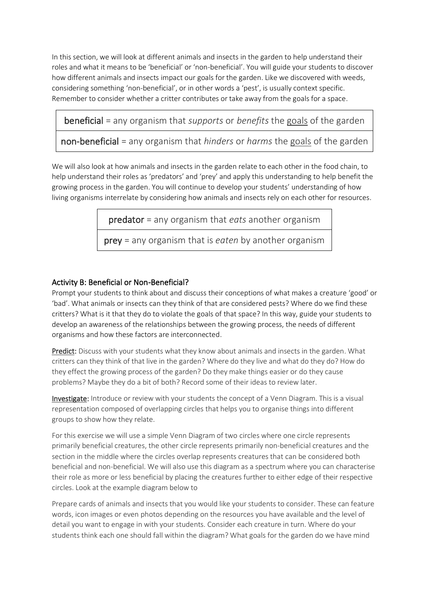In this section, we will look at different animals and insects in the garden to help understand their roles and what it means to be 'beneficial' or 'non-beneficial'. You will guide your students to discover how different animals and insects impact our goals for the garden. Like we discovered with weeds, considering something 'non-beneficial', or in other words a 'pest', is usually context specific. Remember to consider whether a critter contributes or take away from the goals for a space.

beneficial = any organism that *supports* or *benefits* the goals of the garden

non-beneficial = any organism that *hinders* or *harms* the goals of the garden

We will also look at how animals and insects in the garden relate to each other in the food chain, to help understand their roles as 'predators' and 'prey' and apply this understanding to help benefit the growing process in the garden. You will continue to develop your students' understanding of how living organisms interrelate by considering how animals and insects rely on each other for resources.

predator = any organism that *eats* another organism

prey = any organism that is *eaten* by another organism

### <span id="page-3-0"></span>Activity B: Beneficial or Non-Beneficial?

Prompt your students to think about and discuss their conceptions of what makes a creature 'good' or 'bad'. What animals or insects can they think of that are considered pests? Where do we find these critters? What is it that they do to violate the goals of that space? In this way, guide your students to develop an awareness of the relationships between the growing process, the needs of different organisms and how these factors are interconnected.

Predict: Discuss with your students what they know about animals and insects in the garden. What critters can they think of that live in the garden? Where do they live and what do they do? How do they effect the growing process of the garden? Do they make things easier or do they cause problems? Maybe they do a bit of both? Record some of their ideas to review later.

Investigate: Introduce or review with your students the concept of a Venn Diagram. This is a visual representation composed of overlapping circles that helps you to organise things into different groups to show how they relate.

For this exercise we will use a simple Venn Diagram of two circles where one circle represents primarily beneficial creatures, the other circle represents primarily non-beneficial creatures and the section in the middle where the circles overlap represents creatures that can be considered both beneficial and non-beneficial. We will also use this diagram as a spectrum where you can characterise their role as more or less beneficial by placing the creatures further to either edge of their respective circles. Look at the example diagram below to

Prepare cards of animals and insects that you would like your students to consider. These can feature words, icon images or even photos depending on the resources you have available and the level of detail you want to engage in with your students. Consider each creature in turn. Where do your students think each one should fall within the diagram? What goals for the garden do we have mind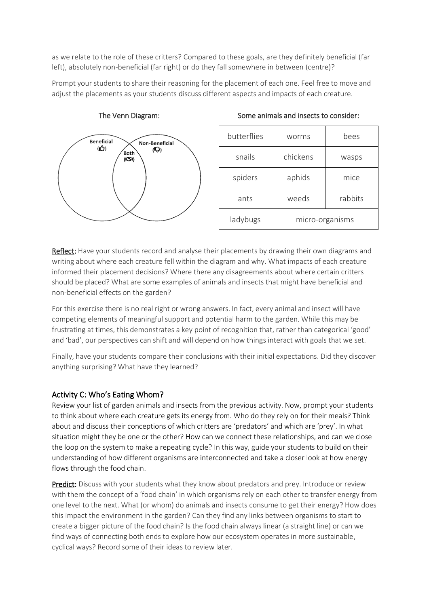as we relate to the role of these critters? Compared to these goals, are they definitely beneficial (far left), absolutely non-beneficial (far right) or do they fall somewhere in between (centre)?

Prompt your students to share their reasoning for the placement of each one. Feel free to move and adjust the placements as your students discuss different aspects and impacts of each creature.



The Venn Diagram:

| butterflies | worms           | bees    |
|-------------|-----------------|---------|
| snails      | chickens        | wasps   |
| spiders     | aphids          | mice    |
| ants        | weeds           | rabbits |
| ladybugs    | micro-organisms |         |

Some animals and insects to consider:

Reflect: Have your students record and analyse their placements by drawing their own diagrams and writing about where each creature fell within the diagram and why. What impacts of each creature informed their placement decisions? Where there any disagreements about where certain critters should be placed? What are some examples of animals and insects that might have beneficial and non-beneficial effects on the garden?

For this exercise there is no real right or wrong answers. In fact, every animal and insect will have competing elements of meaningful support and potential harm to the garden. While this may be frustrating at times, this demonstrates a key point of recognition that, rather than categorical 'good' and 'bad', our perspectives can shift and will depend on how things interact with goals that we set.

Finally, have your students compare their conclusions with their initial expectations. Did they discover anything surprising? What have they learned?

#### <span id="page-4-0"></span>Activity C: Who's Eating Whom?

Review your list of garden animals and insects from the previous activity. Now, prompt your students to think about where each creature gets its energy from. Who do they rely on for their meals? Think about and discuss their conceptions of which critters are 'predators' and which are 'prey'. In what situation might they be one or the other? How can we connect these relationships, and can we close the loop on the system to make a repeating cycle? In this way, guide your students to build on their understanding of how different organisms are interconnected and take a closer look at how energy flows through the food chain.

Predict: Discuss with your students what they know about predators and prey. Introduce or review with them the concept of a 'food chain' in which organisms rely on each other to transfer energy from one level to the next. What (or whom) do animals and insects consume to get their energy? How does this impact the environment in the garden? Can they find any links between organisms to start to create a bigger picture of the food chain? Is the food chain always linear (a straight line) or can we find ways of connecting both ends to explore how our ecosystem operates in more sustainable, cyclical ways? Record some of their ideas to review later.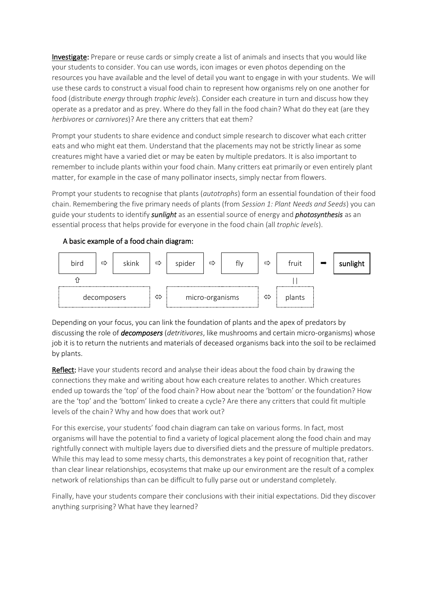Investigate: Prepare or reuse cards or simply create a list of animals and insects that you would like your students to consider. You can use words, icon images or even photos depending on the resources you have available and the level of detail you want to engage in with your students. We will use these cards to construct a visual food chain to represent how organisms rely on one another for food (distribute *energy* through *trophic levels*). Consider each creature in turn and discuss how they operate as a predator and as prey. Where do they fall in the food chain? What do they eat (are they *herbivores* or *carnivores*)? Are there any critters that eat them?

Prompt your students to share evidence and conduct simple research to discover what each critter eats and who might eat them. Understand that the placements may not be strictly linear as some creatures might have a varied diet or may be eaten by multiple predators. It is also important to remember to include plants within your food chain. Many critters eat primarily or even entirely plant matter, for example in the case of many pollinator insects, simply nectar from flowers.

Prompt your students to recognise that plants (*autotrophs*) form an essential foundation of their food chain. Remembering the five primary needs of plants (from *Session 1: Plant Needs and Seeds*) you can guide your students to identify *sunlight* as an essential source of energy and *photosynthesis* as an essential process that helps provide for everyone in the food chain (all *trophic levels*).

#### A basic example of a food chain diagram:



Depending on your focus, you can link the foundation of plants and the apex of predators by discussing the role of *decomposers* (*detritivores*, like mushrooms and certain micro-organisms) whose job it is to return the nutrients and materials of deceased organisms back into the soil to be reclaimed by plants.

Reflect: Have your students record and analyse their ideas about the food chain by drawing the connections they make and writing about how each creature relates to another. Which creatures ended up towards the 'top' of the food chain? How about near the 'bottom' or the foundation? How are the 'top' and the 'bottom' linked to create a cycle? Are there any critters that could fit multiple levels of the chain? Why and how does that work out?

For this exercise, your students' food chain diagram can take on various forms. In fact, most organisms will have the potential to find a variety of logical placement along the food chain and may rightfully connect with multiple layers due to diversified diets and the pressure of multiple predators. While this may lead to some messy charts, this demonstrates a key point of recognition that, rather than clear linear relationships, ecosystems that make up our environment are the result of a complex network of relationships than can be difficult to fully parse out or understand completely.

Finally, have your students compare their conclusions with their initial expectations. Did they discover anything surprising? What have they learned?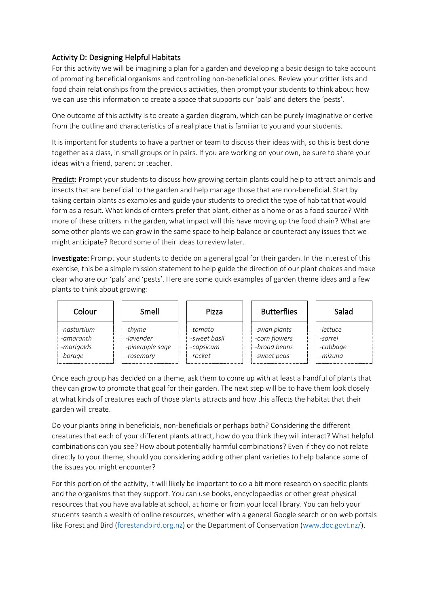## <span id="page-6-0"></span>Activity D: Designing Helpful Habitats

For this activity we will be imagining a plan for a garden and developing a basic design to take account of promoting beneficial organisms and controlling non-beneficial ones. Review your critter lists and food chain relationships from the previous activities, then prompt your students to think about how we can use this information to create a space that supports our 'pals' and deters the 'pests'.

One outcome of this activity is to create a garden diagram, which can be purely imaginative or derive from the outline and characteristics of a real place that is familiar to you and your students.

It is important for students to have a partner or team to discuss their ideas with, so this is best done together as a class, in small groups or in pairs. If you are working on your own, be sure to share your ideas with a friend, parent or teacher.

Predict: Prompt your students to discuss how growing certain plants could help to attract animals and insects that are beneficial to the garden and help manage those that are non-beneficial. Start by taking certain plants as examples and guide your students to predict the type of habitat that would form as a result. What kinds of critters prefer that plant, either as a home or as a food source? With more of these critters in the garden, what impact will this have moving up the food chain? What are some other plants we can grow in the same space to help balance or counteract any issues that we might anticipate? Record some of their ideas to review later.

Investigate: Prompt your students to decide on a general goal for their garden. In the interest of this exercise, this be a simple mission statement to help guide the direction of our plant choices and make clear who are our 'pals' and 'pests'. Here are some quick examples of garden theme ideas and a few plants to think about growing:

| Colour      | Smell           | Pizza        | <b>Butterflies</b> | Salad    |
|-------------|-----------------|--------------|--------------------|----------|
| -nasturtium | -thyme          | -tomato      | -swan plants       | -lettuce |
| -amaranth   | -lavender       | -sweet hasil | -corn flowers      | -sorrel  |
| -marigolds  | -pineapple sage | -capsicum    | -broad beans       | -cabbage |
| -borage     | -rosemary       | -rocket      | -sweet peas        | -mizuna  |

Once each group has decided on a theme, ask them to come up with at least a handful of plants that they can grow to promote that goal for their garden. The next step will be to have them look closely at what kinds of creatures each of those plants attracts and how this affects the habitat that their garden will create.

Do your plants bring in beneficials, non-beneficials or perhaps both? Considering the different creatures that each of your different plants attract, how do you think they will interact? What helpful combinations can you see? How about potentially harmful combinations? Even if they do not relate directly to your theme, should you considering adding other plant varieties to help balance some of the issues you might encounter?

For this portion of the activity, it will likely be important to do a bit more research on specific plants and the organisms that they support. You can use books, encyclopaedias or other great physical resources that you have available at school, at home or from your local library. You can help your students search a wealth of online resources, whether with a general Google search or on web portals like Forest and Bird [\(forestandbird.org.nz\)](forestandbird.org.nz) or the Department of Conservation [\(www.doc.govt.nz/\)](http://www.doc.govt.nz/).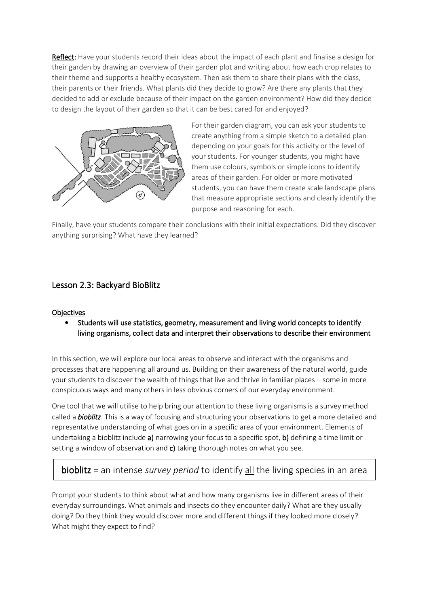Reflect: Have your students record their ideas about the impact of each plant and finalise a design for their garden by drawing an overview of their garden plot and writing about how each crop relates to their theme and supports a healthy ecosystem. Then ask them to share their plans with the class, their parents or their friends. What plants did they decide to grow? Are there any plants that they decided to add or exclude because of their impact on the garden environment? How did they decide to design the layout of their garden so that it can be best cared for and enjoyed?



For their garden diagram, you can ask your students to create anything from a simple sketch to a detailed plan depending on your goals for this activity or the level of your students. For younger students, you might have them use colours, symbols or simple icons to identify areas of their garden. For older or more motivated students, you can have them create scale landscape plans that measure appropriate sections and clearly identify the purpose and reasoning for each.

Finally, have your students compare their conclusions with their initial expectations. Did they discover anything surprising? What have they learned?

# <span id="page-7-0"></span>Lesson 2.3: Backyard BioBlitz

#### **Objectives**

• Students will use statistics, geometry, measurement and living world concepts to identify living organisms, collect data and interpret their observations to describe their environment

In this section, we will explore our local areas to observe and interact with the organisms and processes that are happening all around us. Building on their awareness of the natural world, guide your students to discover the wealth of things that live and thrive in familiar places – some in more conspicuous ways and many others in less obvious corners of our everyday environment.

One tool that we will utilise to help bring our attention to these living organisms is a survey method called a *bioblitz*. This is a way of focusing and structuring your observations to get a more detailed and representative understanding of what goes on in a specific area of your environment. Elements of undertaking a bioblitz include a) narrowing your focus to a specific spot, b) defining a time limit or setting a window of observation and c) taking thorough notes on what you see.

# bioblitz = an intense *survey period* to identify all the living species in an area

Prompt your students to think about what and how many organisms live in different areas of their everyday surroundings. What animals and insects do they encounter daily? What are they usually doing? Do they think they would discover more and different things if they looked more closely? What might they expect to find?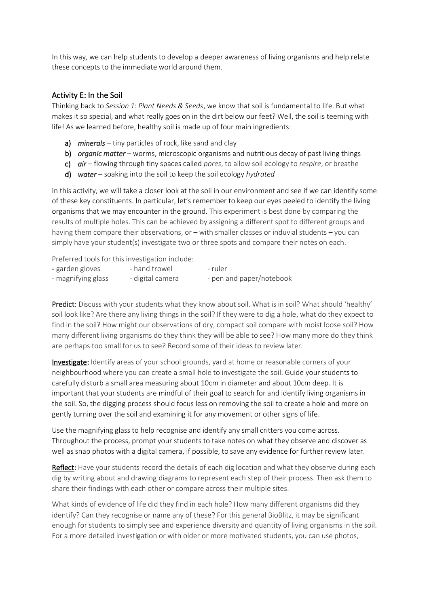In this way, we can help students to develop a deeper awareness of living organisms and help relate these concepts to the immediate world around them.

#### <span id="page-8-0"></span>Activity E: In the Soil

Thinking back to *Session 1: Plant Needs & Seeds*, we know that soil is fundamental to life. But what makes it so special, and what really goes on in the dirt below our feet? Well, the soil is teeming with life! As we learned before, healthy soil is made up of four main ingredients:

- a) *minerals* tiny particles of rock, like sand and clay
- b) *organic matter* worms, microscopic organisms and nutritious decay of past living things
- c) *air*  flowing through tiny spaces called *pores*, to allow soil ecology to *respire*, or breathe
- d) *water*  soaking into the soil to keep the soil ecology *hydrated*

In this activity, we will take a closer look at the soil in our environment and see if we can identify some of these key constituents. In particular, let's remember to keep our eyes peeled to identify the living organisms that we may encounter in the ground. This experiment is best done by comparing the results of multiple holes. This can be achieved by assigning a different spot to different groups and having them compare their observations, or – with smaller classes or induvial students – you can simply have your student(s) investigate two or three spots and compare their notes on each.

Preferred tools for this investigation include:

| - garden gloves    | - hand trowel    | - ruler                  |
|--------------------|------------------|--------------------------|
| - magnifying glass | - digital camera | - pen and paper/notebook |

Predict: Discuss with your students what they know about soil. What is in soil? What should 'healthy' soil look like? Are there any living things in the soil? If they were to dig a hole, what do they expect to find in the soil? How might our observations of dry, compact soil compare with moist loose soil? How many different living organisms do they think they will be able to see? How many more do they think are perhaps too small for us to see? Record some of their ideas to review later.

Investigate: Identify areas of your school grounds, yard at home or reasonable corners of your neighbourhood where you can create a small hole to investigate the soil. Guide your students to carefully disturb a small area measuring about 10cm in diameter and about 10cm deep. It is important that your students are mindful of their goal to search for and identify living organisms in the soil. So, the digging process should focus less on removing the soil to create a hole and more on gently turning over the soil and examining it for any movement or other signs of life.

Use the magnifying glass to help recognise and identify any small critters you come across. Throughout the process, prompt your students to take notes on what they observe and discover as well as snap photos with a digital camera, if possible, to save any evidence for further review later.

Reflect: Have your students record the details of each dig location and what they observe during each dig by writing about and drawing diagrams to represent each step of their process. Then ask them to share their findings with each other or compare across their multiple sites.

What kinds of evidence of life did they find in each hole? How many different organisms did they identify? Can they recognise or name any of these? For this general BioBlitz, it may be significant enough for students to simply see and experience diversity and quantity of living organisms in the soil. For a more detailed investigation or with older or more motivated students, you can use photos,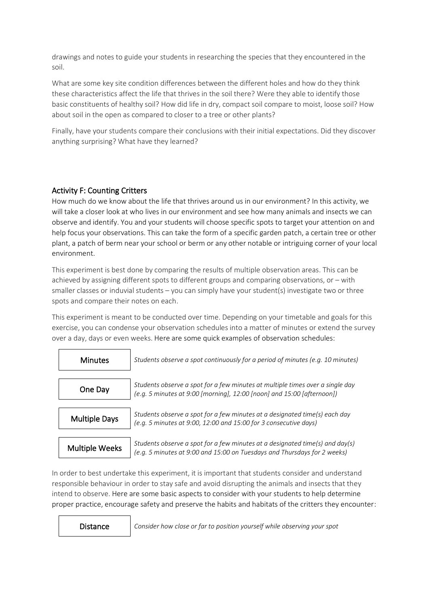drawings and notes to guide your students in researching the species that they encountered in the soil.

What are some key site condition differences between the different holes and how do they think these characteristics affect the life that thrives in the soil there? Were they able to identify those basic constituents of healthy soil? How did life in dry, compact soil compare to moist, loose soil? How about soil in the open as compared to closer to a tree or other plants?

Finally, have your students compare their conclusions with their initial expectations. Did they discover anything surprising? What have they learned?

#### <span id="page-9-0"></span>Activity F: Counting Critters

How much do we know about the life that thrives around us in our environment? In this activity, we will take a closer look at who lives in our environment and see how many animals and insects we can observe and identify. You and your students will choose specific spots to target your attention on and help focus your observations. This can take the form of a specific garden patch, a certain tree or other plant, a patch of berm near your school or berm or any other notable or intriguing corner of your local environment.

This experiment is best done by comparing the results of multiple observation areas. This can be achieved by assigning different spots to different groups and comparing observations, or  $-$  with smaller classes or induvial students – you can simply have your student(s) investigate two or three spots and compare their notes on each.

This experiment is meant to be conducted over time. Depending on your timetable and goals for this exercise, you can condense your observation schedules into a matter of minutes or extend the survey over a day, days or even weeks. Here are some quick examples of observation schedules:



In order to best undertake this experiment, it is important that students consider and understand responsible behaviour in order to stay safe and avoid disrupting the animals and insects that they intend to observe. Here are some basic aspects to consider with your students to help determine proper practice, encourage safety and preserve the habits and habitats of the critters they encounter:

Distance *Consider how close or far to position yourself while observing your spot*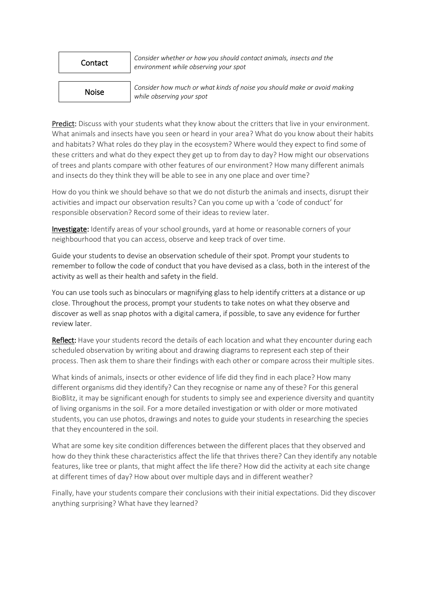#### Contact

*Consider whether or how you should contact animals, insects and the environment while observing your spot*

## Noise

*Consider how much or what kinds of noise you should make or avoid making while observing your spot*

Predict: Discuss with your students what they know about the critters that live in your environment. What animals and insects have you seen or heard in your area? What do you know about their habits and habitats? What roles do they play in the ecosystem? Where would they expect to find some of these critters and what do they expect they get up to from day to day? How might our observations of trees and plants compare with other features of our environment? How many different animals and insects do they think they will be able to see in any one place and over time?

How do you think we should behave so that we do not disturb the animals and insects, disrupt their activities and impact our observation results? Can you come up with a 'code of conduct' for responsible observation? Record some of their ideas to review later.

Investigate: Identify areas of your school grounds, yard at home or reasonable corners of your neighbourhood that you can access, observe and keep track of over time.

Guide your students to devise an observation schedule of their spot. Prompt your students to remember to follow the code of conduct that you have devised as a class, both in the interest of the activity as well as their health and safety in the field.

You can use tools such as binoculars or magnifying glass to help identify critters at a distance or up close. Throughout the process, prompt your students to take notes on what they observe and discover as well as snap photos with a digital camera, if possible, to save any evidence for further review later.

Reflect: Have your students record the details of each location and what they encounter during each scheduled observation by writing about and drawing diagrams to represent each step of their process. Then ask them to share their findings with each other or compare across their multiple sites.

What kinds of animals, insects or other evidence of life did they find in each place? How many different organisms did they identify? Can they recognise or name any of these? For this general BioBlitz, it may be significant enough for students to simply see and experience diversity and quantity of living organisms in the soil. For a more detailed investigation or with older or more motivated students, you can use photos, drawings and notes to guide your students in researching the species that they encountered in the soil.

What are some key site condition differences between the different places that they observed and how do they think these characteristics affect the life that thrives there? Can they identify any notable features, like tree or plants, that might affect the life there? How did the activity at each site change at different times of day? How about over multiple days and in different weather?

Finally, have your students compare their conclusions with their initial expectations. Did they discover anything surprising? What have they learned?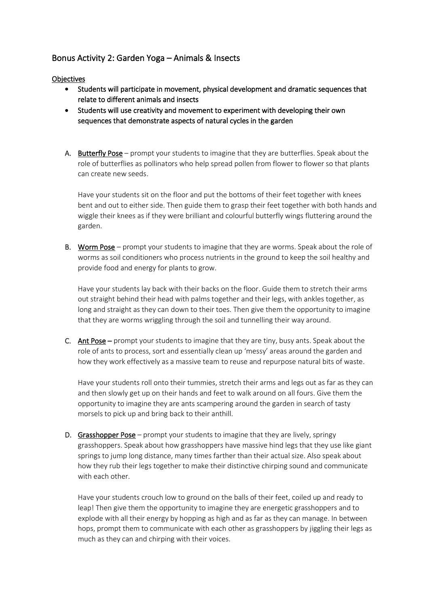# <span id="page-11-0"></span>Bonus Activity 2: Garden Yoga – Animals & Insects

#### **Objectives**

- Students will participate in movement, physical development and dramatic sequences that relate to different animals and insects
- Students will use creativity and movement to experiment with developing their own sequences that demonstrate aspects of natural cycles in the garden
- A. Butterfly Pose prompt your students to imagine that they are butterflies. Speak about the role of butterflies as pollinators who help spread pollen from flower to flower so that plants can create new seeds.

Have your students sit on the floor and put the bottoms of their feet together with knees bent and out to either side. Then guide them to grasp their feet together with both hands and wiggle their knees as if they were brilliant and colourful butterfly wings fluttering around the garden.

B. Worm Pose – prompt your students to imagine that they are worms. Speak about the role of worms as soil conditioners who process nutrients in the ground to keep the soil healthy and provide food and energy for plants to grow.

Have your students lay back with their backs on the floor. Guide them to stretch their arms out straight behind their head with palms together and their legs, with ankles together, as long and straight as they can down to their toes. Then give them the opportunity to imagine that they are worms wriggling through the soil and tunnelling their way around.

C. Ant Pose – prompt your students to imagine that they are tiny, busy ants. Speak about the role of ants to process, sort and essentially clean up 'messy' areas around the garden and how they work effectively as a massive team to reuse and repurpose natural bits of waste.

Have your students roll onto their tummies, stretch their arms and legs out as far as they can and then slowly get up on their hands and feet to walk around on all fours. Give them the opportunity to imagine they are ants scampering around the garden in search of tasty morsels to pick up and bring back to their anthill.

D. Grasshopper Pose – prompt your students to imagine that they are lively, springy grasshoppers. Speak about how grasshoppers have massive hind legs that they use like giant springs to jump long distance, many times farther than their actual size. Also speak about how they rub their legs together to make their distinctive chirping sound and communicate with each other.

Have your students crouch low to ground on the balls of their feet, coiled up and ready to leap! Then give them the opportunity to imagine they are energetic grasshoppers and to explode with all their energy by hopping as high and as far as they can manage. In between hops, prompt them to communicate with each other as grasshoppers by jiggling their legs as much as they can and chirping with their voices.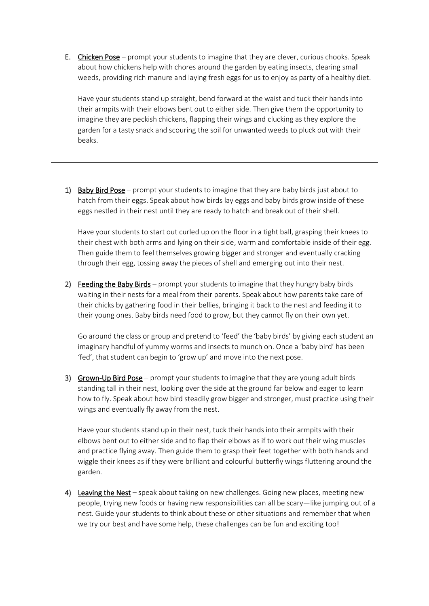E. Chicken Pose – prompt your students to imagine that they are clever, curious chooks. Speak about how chickens help with chores around the garden by eating insects, clearing small weeds, providing rich manure and laying fresh eggs for us to enjoy as party of a healthy diet.

Have your students stand up straight, bend forward at the waist and tuck their hands into their armpits with their elbows bent out to either side. Then give them the opportunity to imagine they are peckish chickens, flapping their wings and clucking as they explore the garden for a tasty snack and scouring the soil for unwanted weeds to pluck out with their beaks.

1) Baby Bird Pose – prompt your students to imagine that they are baby birds just about to hatch from their eggs. Speak about how birds lay eggs and baby birds grow inside of these eggs nestled in their nest until they are ready to hatch and break out of their shell.

Have your students to start out curled up on the floor in a tight ball, grasping their knees to their chest with both arms and lying on their side, warm and comfortable inside of their egg. Then guide them to feel themselves growing bigger and stronger and eventually cracking through their egg, tossing away the pieces of shell and emerging out into their nest.

2) Feeding the Baby Birds – prompt your students to imagine that they hungry baby birds waiting in their nests for a meal from their parents. Speak about how parents take care of their chicks by gathering food in their bellies, bringing it back to the nest and feeding it to their young ones. Baby birds need food to grow, but they cannot fly on their own yet.

Go around the class or group and pretend to 'feed' the 'baby birds' by giving each student an imaginary handful of yummy worms and insects to munch on. Once a 'baby bird' has been 'fed', that student can begin to 'grow up' and move into the next pose.

3) Grown-Up Bird Pose – prompt your students to imagine that they are young adult birds standing tall in their nest, looking over the side at the ground far below and eager to learn how to fly. Speak about how bird steadily grow bigger and stronger, must practice using their wings and eventually fly away from the nest.

Have your students stand up in their nest, tuck their hands into their armpits with their elbows bent out to either side and to flap their elbows as if to work out their wing muscles and practice flying away. Then guide them to grasp their feet together with both hands and wiggle their knees as if they were brilliant and colourful butterfly wings fluttering around the garden.

4) Leaving the Nest – speak about taking on new challenges. Going new places, meeting new people, trying new foods or having new responsibilities can all be scary—like jumping out of a nest. Guide your students to think about these or other situations and remember that when we try our best and have some help, these challenges can be fun and exciting too!